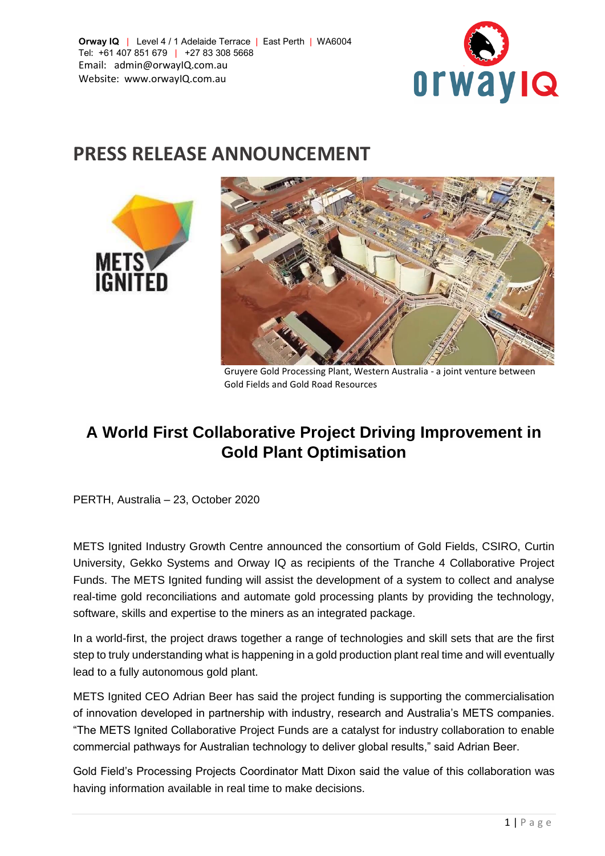

## **PRESS RELEASE ANNOUNCEMENT**



Gruyere Gold Processing Plant, Western Australia - a joint venture between Gold Fields and Gold Road Resources

## **A World First Collaborative Project Driving Improvement in Gold Plant Optimisation**

PERTH, Australia – 23, October 2020

METS Ignited Industry Growth Centre announced the consortium of Gold Fields, CSIRO, Curtin University, Gekko Systems and Orway IQ as recipients of the Tranche 4 Collaborative Project Funds. The METS Ignited funding will assist the development of a system to collect and analyse real-time gold reconciliations and automate gold processing plants by providing the technology, software, skills and expertise to the miners as an integrated package.

In a world-first, the project draws together a range of technologies and skill sets that are the first step to truly understanding what is happening in a gold production plant real time and will eventually lead to a fully autonomous gold plant.

METS Ignited CEO Adrian Beer has said the project funding is supporting the commercialisation of innovation developed in partnership with industry, research and Australia's METS companies. "The METS Ignited Collaborative Project Funds are a catalyst for industry collaboration to enable commercial pathways for Australian technology to deliver global results," said Adrian Beer.

Gold Field's Processing Projects Coordinator Matt Dixon said the value of this collaboration was having information available in real time to make decisions.